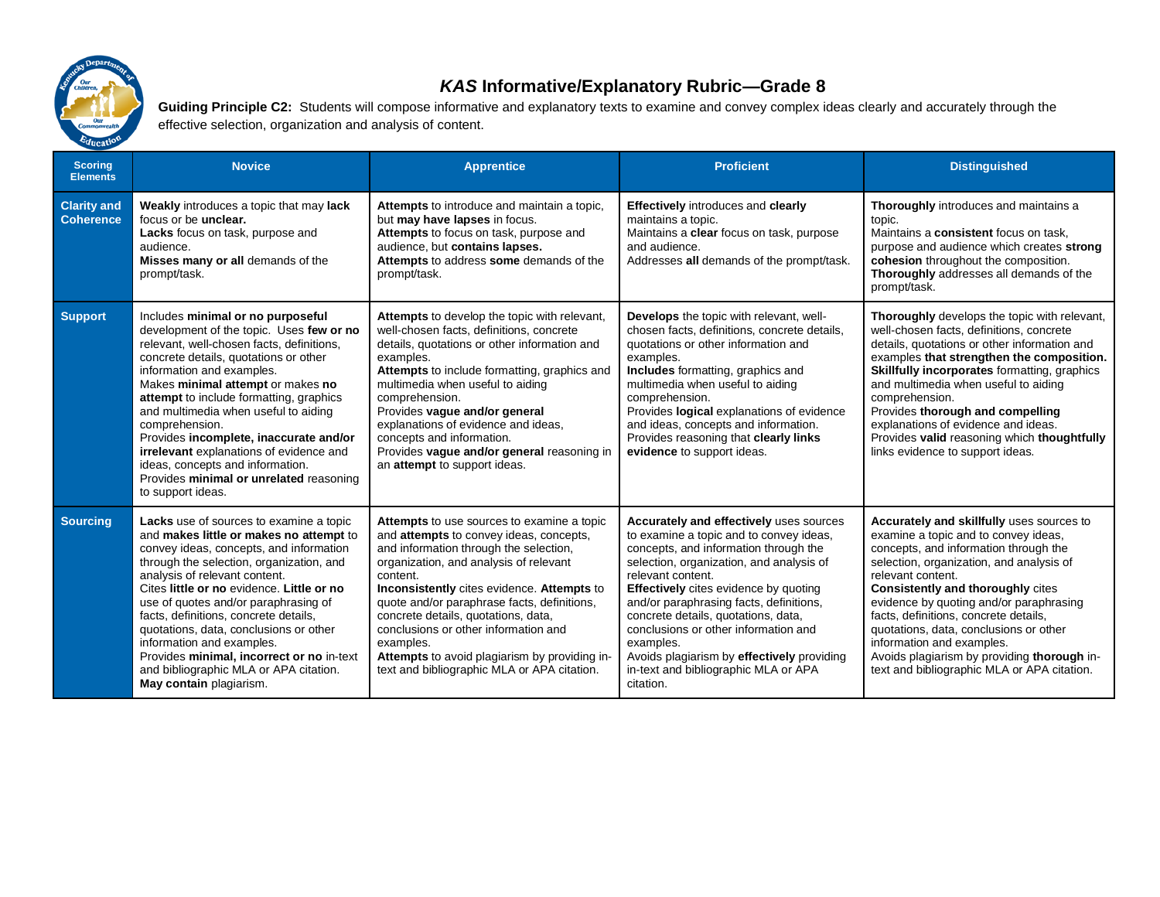

## *KAS* **Informative/Explanatory Rubric—Grade 8**

Guiding Principle C2: Students will compose informative and explanatory texts to examine and convey complex ideas clearly and accurately through the effective selection, organization and analysis of content.

| <b>Scoring</b><br><b>Elements</b>      | <b>Novice</b>                                                                                                                                                                                                                                                                                                                                                                                                                                                                                                                       | <b>Apprentice</b>                                                                                                                                                                                                                                                                                                                                                                                                                                                              | <b>Proficient</b>                                                                                                                                                                                                                                                                                                                                                                                                                                                                      | <b>Distinguished</b>                                                                                                                                                                                                                                                                                                                                                                                                                                                                             |
|----------------------------------------|-------------------------------------------------------------------------------------------------------------------------------------------------------------------------------------------------------------------------------------------------------------------------------------------------------------------------------------------------------------------------------------------------------------------------------------------------------------------------------------------------------------------------------------|--------------------------------------------------------------------------------------------------------------------------------------------------------------------------------------------------------------------------------------------------------------------------------------------------------------------------------------------------------------------------------------------------------------------------------------------------------------------------------|----------------------------------------------------------------------------------------------------------------------------------------------------------------------------------------------------------------------------------------------------------------------------------------------------------------------------------------------------------------------------------------------------------------------------------------------------------------------------------------|--------------------------------------------------------------------------------------------------------------------------------------------------------------------------------------------------------------------------------------------------------------------------------------------------------------------------------------------------------------------------------------------------------------------------------------------------------------------------------------------------|
| <b>Clarity and</b><br><b>Coherence</b> | Weakly introduces a topic that may lack<br>focus or be <b>unclear</b> .<br>Lacks focus on task, purpose and<br>audience.<br>Misses many or all demands of the<br>prompt/task.                                                                                                                                                                                                                                                                                                                                                       | Attempts to introduce and maintain a topic,<br>but may have lapses in focus.<br>Attempts to focus on task, purpose and<br>audience, but contains lapses.<br>Attempts to address some demands of the<br>prompt/task.                                                                                                                                                                                                                                                            | <b>Effectively</b> introduces and <b>clearly</b><br>maintains a topic.<br>Maintains a clear focus on task, purpose<br>and audience.<br>Addresses all demands of the prompt/task.                                                                                                                                                                                                                                                                                                       | Thoroughly introduces and maintains a<br>topic.<br>Maintains a consistent focus on task.<br>purpose and audience which creates strong<br>cohesion throughout the composition.<br>Thoroughly addresses all demands of the<br>prompt/task.                                                                                                                                                                                                                                                         |
| <b>Support</b>                         | Includes minimal or no purposeful<br>development of the topic. Uses few or no<br>relevant, well-chosen facts, definitions,<br>concrete details, quotations or other<br>information and examples.<br>Makes minimal attempt or makes no<br>attempt to include formatting, graphics<br>and multimedia when useful to aiding<br>comprehension.<br>Provides incomplete, inaccurate and/or<br>irrelevant explanations of evidence and<br>ideas, concepts and information.<br>Provides minimal or unrelated reasoning<br>to support ideas. | Attempts to develop the topic with relevant,<br>well-chosen facts, definitions, concrete<br>details, quotations or other information and<br>examples.<br>Attempts to include formatting, graphics and<br>multimedia when useful to aiding<br>comprehension.<br>Provides vague and/or general<br>explanations of evidence and ideas,<br>concepts and information.<br>Provides vague and/or general reasoning in<br>an attempt to support ideas.                                 | <b>Develops</b> the topic with relevant, well-<br>chosen facts, definitions, concrete details,<br>quotations or other information and<br>examples.<br><b>Includes</b> formatting, graphics and<br>multimedia when useful to aiding<br>comprehension.<br>Provides logical explanations of evidence<br>and ideas, concepts and information.<br>Provides reasoning that clearly links<br>evidence to support ideas.                                                                       | Thoroughly develops the topic with relevant,<br>well-chosen facts, definitions, concrete<br>details, quotations or other information and<br>examples that strengthen the composition.<br><b>Skillfully incorporates formatting, graphics</b><br>and multimedia when useful to aiding<br>comprehension.<br>Provides thorough and compelling<br>explanations of evidence and ideas.<br>Provides valid reasoning which thoughtfully<br>links evidence to support ideas.                             |
| <b>Sourcing</b>                        | Lacks use of sources to examine a topic<br>and makes little or makes no attempt to<br>convey ideas, concepts, and information<br>through the selection, organization, and<br>analysis of relevant content.<br>Cites little or no evidence. Little or no<br>use of quotes and/or paraphrasing of<br>facts, definitions, concrete details,<br>quotations, data, conclusions or other<br>information and examples.<br>Provides minimal, incorrect or no in-text<br>and bibliographic MLA or APA citation.<br>May contain plagiarism.   | Attempts to use sources to examine a topic<br>and attempts to convey ideas, concepts,<br>and information through the selection,<br>organization, and analysis of relevant<br>content.<br>Inconsistently cites evidence. Attempts to<br>quote and/or paraphrase facts, definitions,<br>concrete details, quotations, data,<br>conclusions or other information and<br>examples.<br>Attempts to avoid plagiarism by providing in-<br>text and bibliographic MLA or APA citation. | Accurately and effectively uses sources<br>to examine a topic and to convey ideas,<br>concepts, and information through the<br>selection, organization, and analysis of<br>relevant content.<br><b>Effectively</b> cites evidence by quoting<br>and/or paraphrasing facts, definitions,<br>concrete details, quotations, data,<br>conclusions or other information and<br>examples.<br>Avoids plagiarism by effectively providing<br>in-text and bibliographic MLA or APA<br>citation. | Accurately and skillfully uses sources to<br>examine a topic and to convey ideas.<br>concepts, and information through the<br>selection, organization, and analysis of<br>relevant content.<br><b>Consistently and thoroughly cites</b><br>evidence by quoting and/or paraphrasing<br>facts, definitions, concrete details,<br>quotations, data, conclusions or other<br>information and examples.<br>Avoids plagiarism by providing thorough in-<br>text and bibliographic MLA or APA citation. |